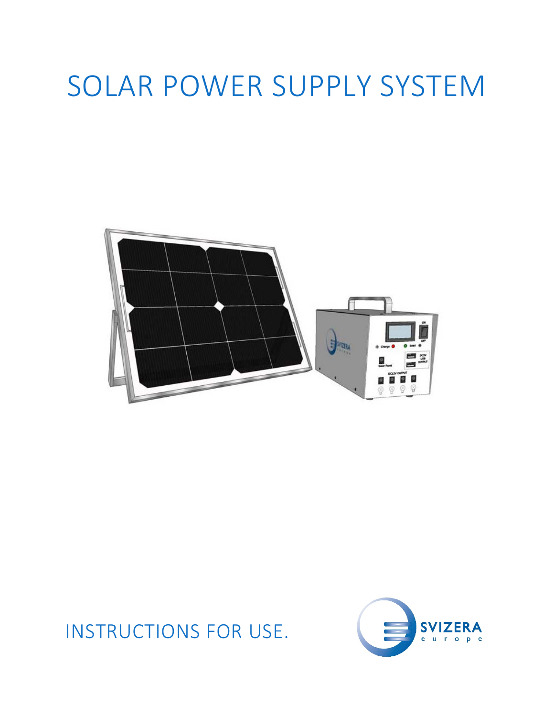# SOLAR POWER SUPPLY SYSTEM



## INSTRUCTIONS FOR USE.

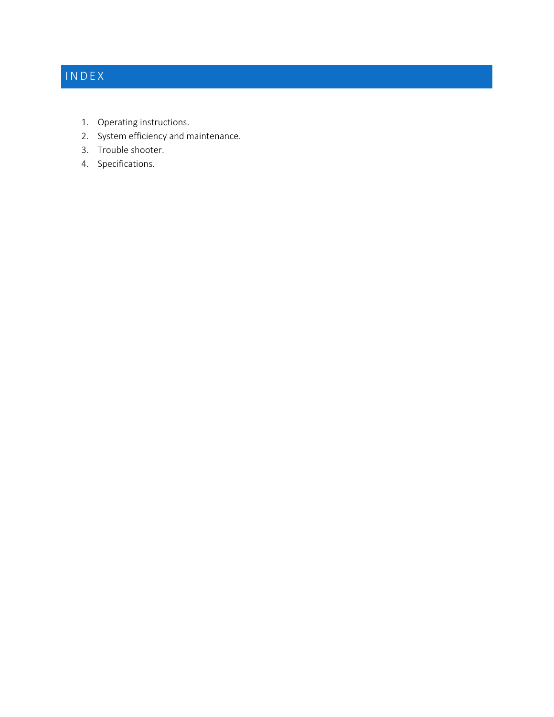## INDEX

- 1. Operating instructions.
- 2. System efficiency and maintenance.
- 3. Trouble shooter.
- 4. Specifications.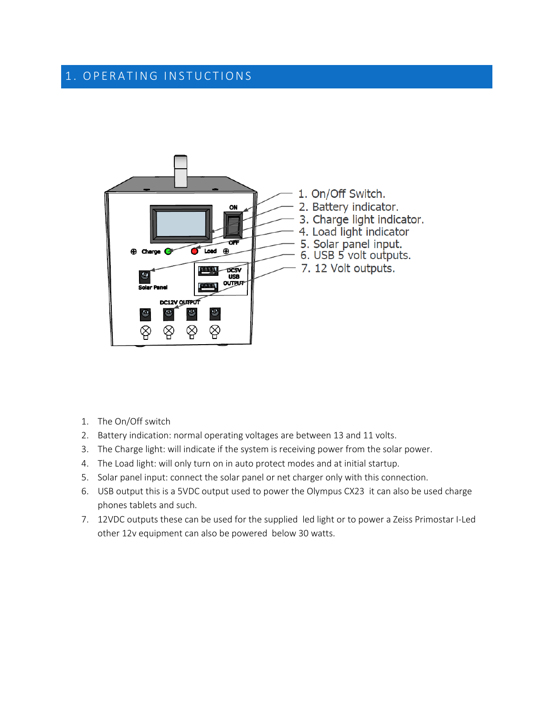#### 1. OPERATING INSTUCTIONS



- 1. The On/Off switch
- 2. Battery indication: normal operating voltages are between 13 and 11 volts.
- 3. The Charge light: will indicate if the system is receiving power from the solar power.
- 4. The Load light: will only turn on in auto protect modes and at initial startup.
- 5. Solar panel input: connect the solar panel or net charger only with this connection.
- 6. USB output this is a 5VDC output used to power the Olympus CX23 it can also be used charge phones tablets and such.
- 7. 12VDC outputs these can be used for the supplied led light or to power a Zeiss Primostar I-Led other 12v equipment can also be powered below 30 watts.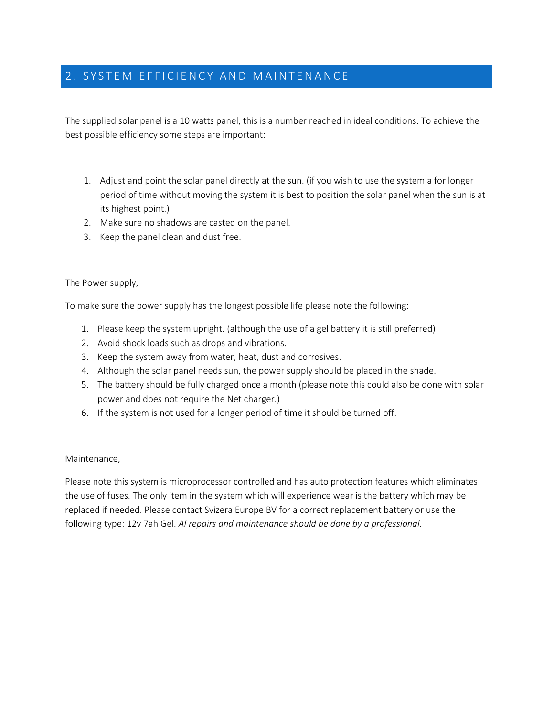#### 2. SYSTEM EFFICIENCY AND MAINTENANCE

The supplied solar panel is a 10 watts panel, this is a number reached in ideal conditions. To achieve the best possible efficiency some steps are important:

- 1. Adjust and point the solar panel directly at the sun. (if you wish to use the system a for longer period of time without moving the system it is best to position the solar panel when the sun is at its highest point.)
- 2. Make sure no shadows are casted on the panel.
- 3. Keep the panel clean and dust free.

The Power supply,

To make sure the power supply has the longest possible life please note the following:

- 1. Please keep the system upright. (although the use of a gel battery it is still preferred)
- 2. Avoid shock loads such as drops and vibrations.
- 3. Keep the system away from water, heat, dust and corrosives.
- 4. Although the solar panel needs sun, the power supply should be placed in the shade.
- 5. The battery should be fully charged once a month (please note this could also be done with solar power and does not require the Net charger.)
- 6. If the system is not used for a longer period of time it should be turned off.

#### Maintenance,

Please note this system is microprocessor controlled and has auto protection features which eliminates the use of fuses. The only item in the system which will experience wear is the battery which may be replaced if needed. Please contact Svizera Europe BV for a correct replacement battery or use the following type: 12v 7ah Gel. *Al repairs and maintenance should be done by a professional.*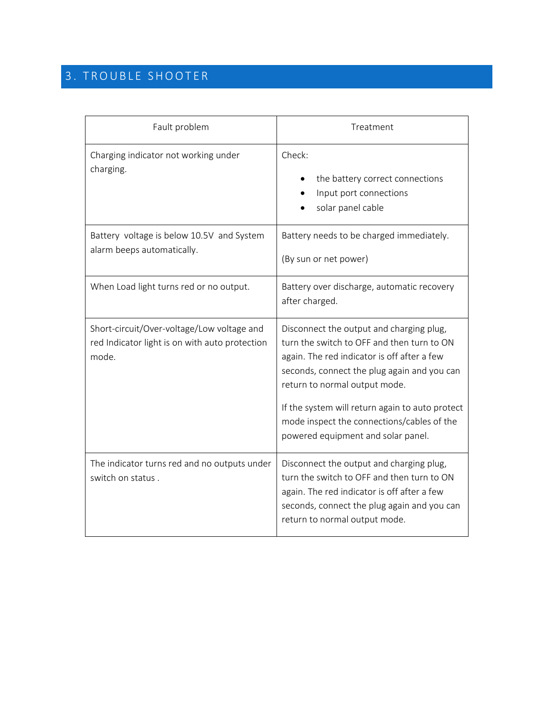## 3 . TROUBLE SHOOTER

| Fault problem                                                                                         | Treatment                                                                                                                                                                                                                                                                                                                                                    |  |
|-------------------------------------------------------------------------------------------------------|--------------------------------------------------------------------------------------------------------------------------------------------------------------------------------------------------------------------------------------------------------------------------------------------------------------------------------------------------------------|--|
| Charging indicator not working under<br>charging.                                                     | Check:<br>the battery correct connections<br>Input port connections<br>solar panel cable                                                                                                                                                                                                                                                                     |  |
| Battery voltage is below 10.5V and System<br>alarm beeps automatically.                               | Battery needs to be charged immediately.<br>(By sun or net power)                                                                                                                                                                                                                                                                                            |  |
| When Load light turns red or no output.                                                               | Battery over discharge, automatic recovery<br>after charged.                                                                                                                                                                                                                                                                                                 |  |
| Short-circuit/Over-voltage/Low voltage and<br>red Indicator light is on with auto protection<br>mode. | Disconnect the output and charging plug,<br>turn the switch to OFF and then turn to ON<br>again. The red indicator is off after a few<br>seconds, connect the plug again and you can<br>return to normal output mode.<br>If the system will return again to auto protect<br>mode inspect the connections/cables of the<br>powered equipment and solar panel. |  |
| The indicator turns red and no outputs under<br>switch on status.                                     | Disconnect the output and charging plug,<br>turn the switch to OFF and then turn to ON<br>again. The red indicator is off after a few<br>seconds, connect the plug again and you can<br>return to normal output mode.                                                                                                                                        |  |